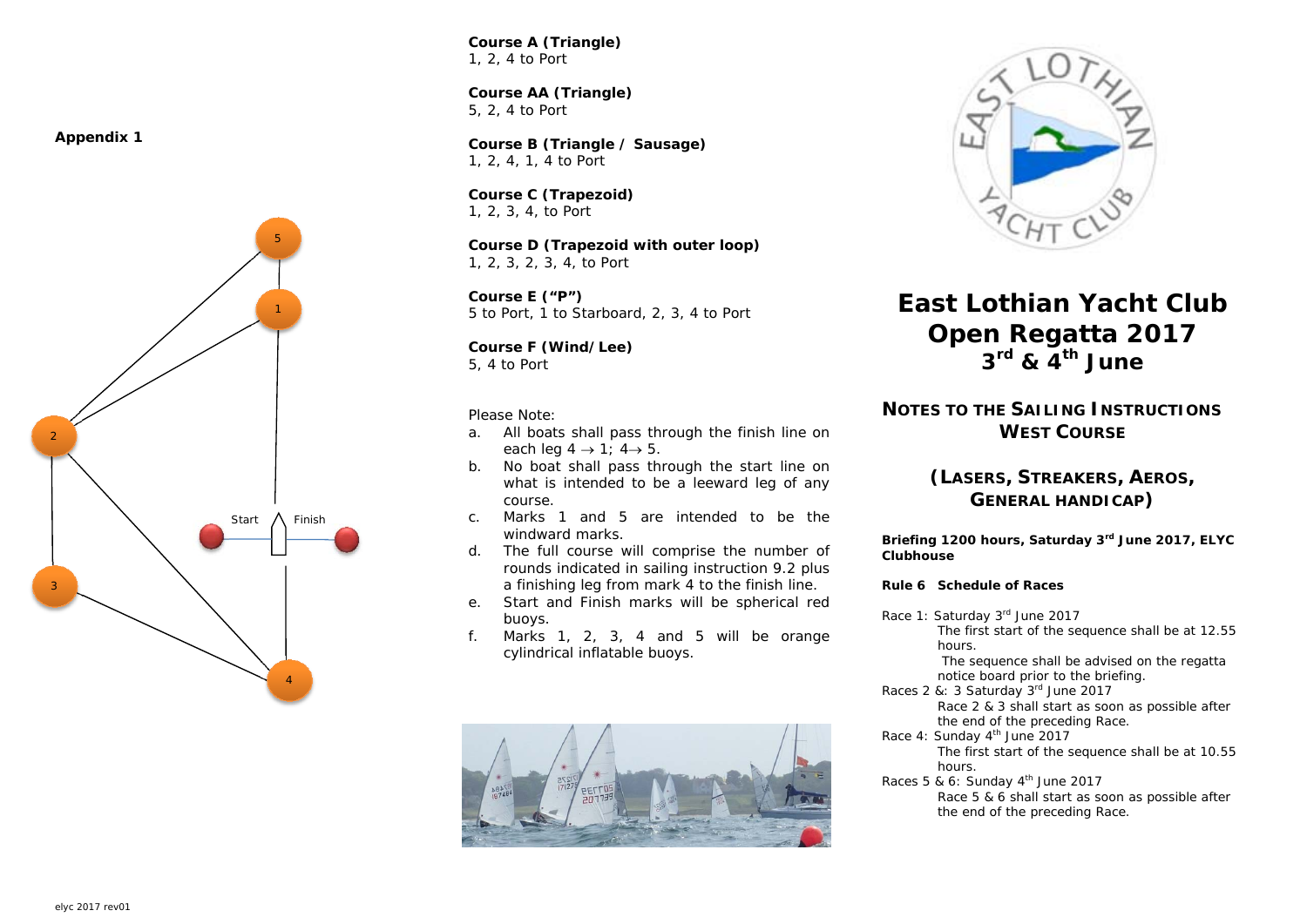**Appendix 1** 



*Course A (Triangle)*  1, 2, 4 to Port

**Course AA (Triangle)**  5, 2, 4 to Port

*Course B (Triangle / Sausage)*  1, 2, 4, 1, 4 to Port

*Course C (Trapezoid)*  1, 2, 3, 4, to Port

*Course D (Trapezoid with outer loop)*  1, 2, 3, 2, 3, 4, to Port

*Course E ("P")*  5 to Port, 1 to Starboard, 2, 3, 4 to Port

*Course F (Wind/Lee)*  5, 4 to Port

*Please Note:* 

- a. All boats shall pass through the finish line on each leg  $4 \rightarrow 1$ ;  $4 \rightarrow 5$ .
- b. No boat shall pass through the start line on what is intended to be a leeward leg of any course.
- c. Marks 1 and 5 are intended to be the windward marks.
- d. The full course will comprise the number of rounds indicated in sailing instruction 9.2 plus a finishing leg from mark 4 to the finish line.
- e. Start and Finish marks will be spherical red buoys.
- f.Marks 1, 2, 3, 4 and 5 will be orange cylindrical inflatable buoys.





# **East Lothian Yacht Club Open Regatta 2017**   $3^{\text{rd}}$  &  $4^{\text{th}}$  June

## **NOTES TO THE SAILING INSTRUCTIONSWEST COURSE**

## **(LASERS, STREAKERS, AEROS, GENERAL HANDICAP)**

**Briefing 1200 hours, Saturday 3rd June 2017, ELYC Clubhouse** 

## *Rule 6 Schedule of Races*

Race 1: Saturday 3rd June 2017 The first start of the sequence shall be at 12.55 hours.

 The sequence shall be advised on the regatta notice board prior to the briefing.

- Races 2 &: 3 Saturday 3rd June 2017 Race 2 & 3 shall start as soon as possible after the end of the preceding Race.
- Race 4: Sunday 4<sup>th</sup> June 2017 The first start of the sequence shall be at 10.55 hours.
- Races 5 & 6: Sunday  $4<sup>th</sup>$  June 2017 Race 5 & 6 shall start as soon as possible after the end of the preceding Race.